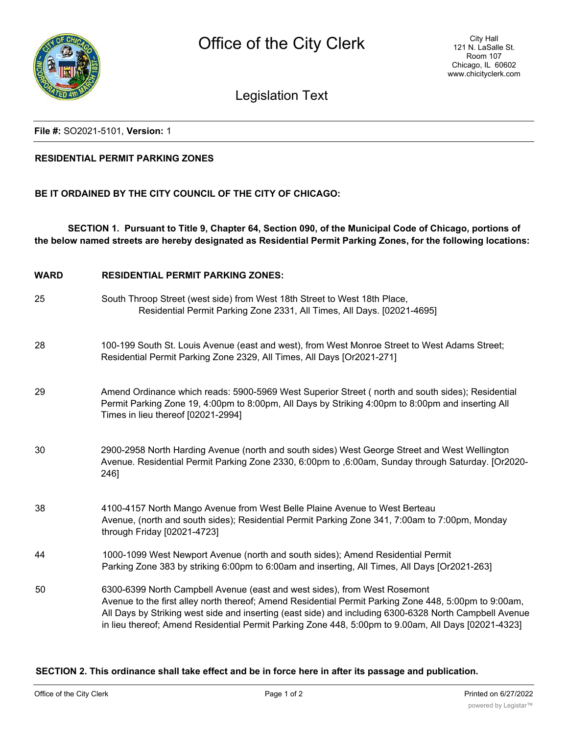

Legislation Text

### **File #:** SO2021-5101, **Version:** 1

### **RESIDENTIAL PERMIT PARKING ZONES**

## **BE IT ORDAINED BY THE CITY COUNCIL OF THE CITY OF CHICAGO:**

**SECTION 1. Pursuant to Title 9, Chapter 64, Section 090, of the Municipal Code of Chicago, portions of the below named streets are hereby designated as Residential Permit Parking Zones, for the following locations:**

- **WARD RESIDENTIAL PERMIT PARKING ZONES:**
- 25 South Throop Street (west side) from West 18th Street to West 18th Place, Residential Permit Parking Zone 2331, All Times, All Days. [02021-4695]
- 28 100-199 South St. Louis Avenue (east and west), from West Monroe Street to West Adams Street; Residential Permit Parking Zone 2329, All Times, All Days [Or2021-271]
- 29 Amend Ordinance which reads: 5900-5969 West Superior Street ( north and south sides); Residential Permit Parking Zone 19, 4:00pm to 8:00pm, All Days by Striking 4:00pm to 8:00pm and inserting All Times in lieu thereof [02021-2994]
- 30 2900-2958 North Harding Avenue (north and south sides) West George Street and West Wellington Avenue. Residential Permit Parking Zone 2330, 6:00pm to ,6:00am, Sunday through Saturday. [Or2020- 246]
- 38 4100-4157 North Mango Avenue from West Belle Plaine Avenue to West Berteau Avenue, (north and south sides); Residential Permit Parking Zone 341, 7:00am to 7:00pm, Monday through Friday [02021-4723]
- 44 1000-1099 West Newport Avenue (north and south sides); Amend Residential Permit Parking Zone 383 by striking 6:00pm to 6:00am and inserting, All Times, All Days [Or2021-263]
- 50 6300-6399 North Campbell Avenue (east and west sides), from West Rosemont Avenue to the first alley north thereof; Amend Residential Permit Parking Zone 448, 5:00pm to 9:00am, All Days by Striking west side and inserting (east side) and including 6300-6328 North Campbell Avenue in lieu thereof; Amend Residential Permit Parking Zone 448, 5:00pm to 9.00am, All Days [02021-4323]

#### **SECTION 2. This ordinance shall take effect and be in force here in after its passage and publication.**